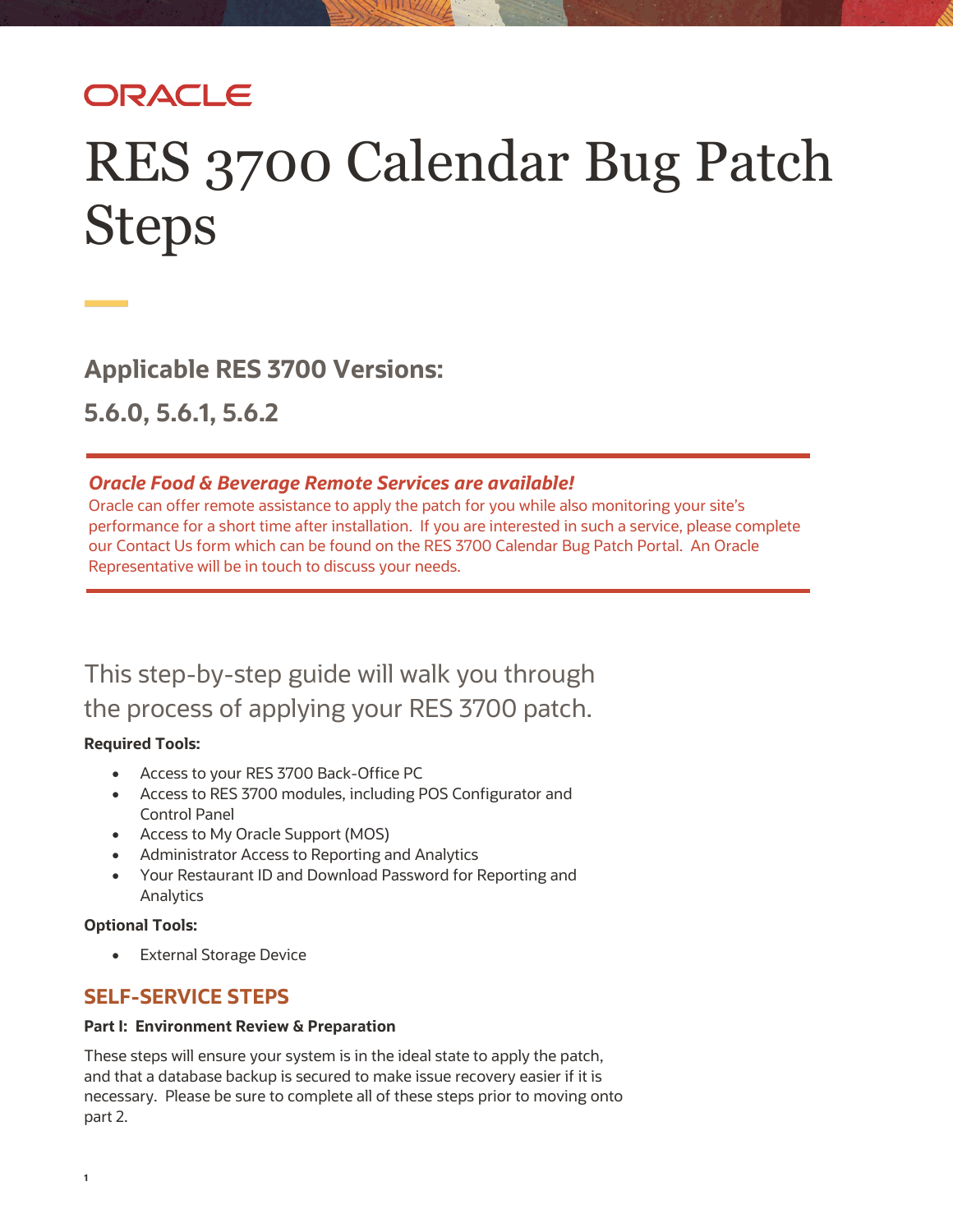# ORACLE

# RES 3700 Calendar Bug Patch Steps

**Applicable RES 3700 Versions:** 

**5.6.0, 5.6.1, 5.6.2**

### *Oracle Food & Beverage Remote Services are available!*

Oracle can offer remote assistance to apply the patch for you while also monitoring your site's performance for a short time after installation. If you are interested in such a service, please complete our Contact Us form which can be found on the RES 3700 Calendar Bug Patch Portal. An Oracle Representative will be in touch to discuss your needs.

This step-by-step guide will walk you through the process of applying your RES 3700 patch.

#### **Required Tools:**

- Access to your RES 3700 Back-Office PC
- Access to RES 3700 modules, including POS Configurator and Control Panel
- Access to My Oracle Support (MOS)
- Administrator Access to Reporting and Analytics
- Your Restaurant ID and Download Password for Reporting and Analytics

#### **Optional Tools:**

• External Storage Device

# **SELF-SERVICE STEPS**

#### **Part I: Environment Review & Preparation**

These steps will ensure your system is in the ideal state to apply the patch, and that a database backup is secured to make issue recovery easier if it is necessary. Please be sure to complete all of these steps prior to moving onto part 2.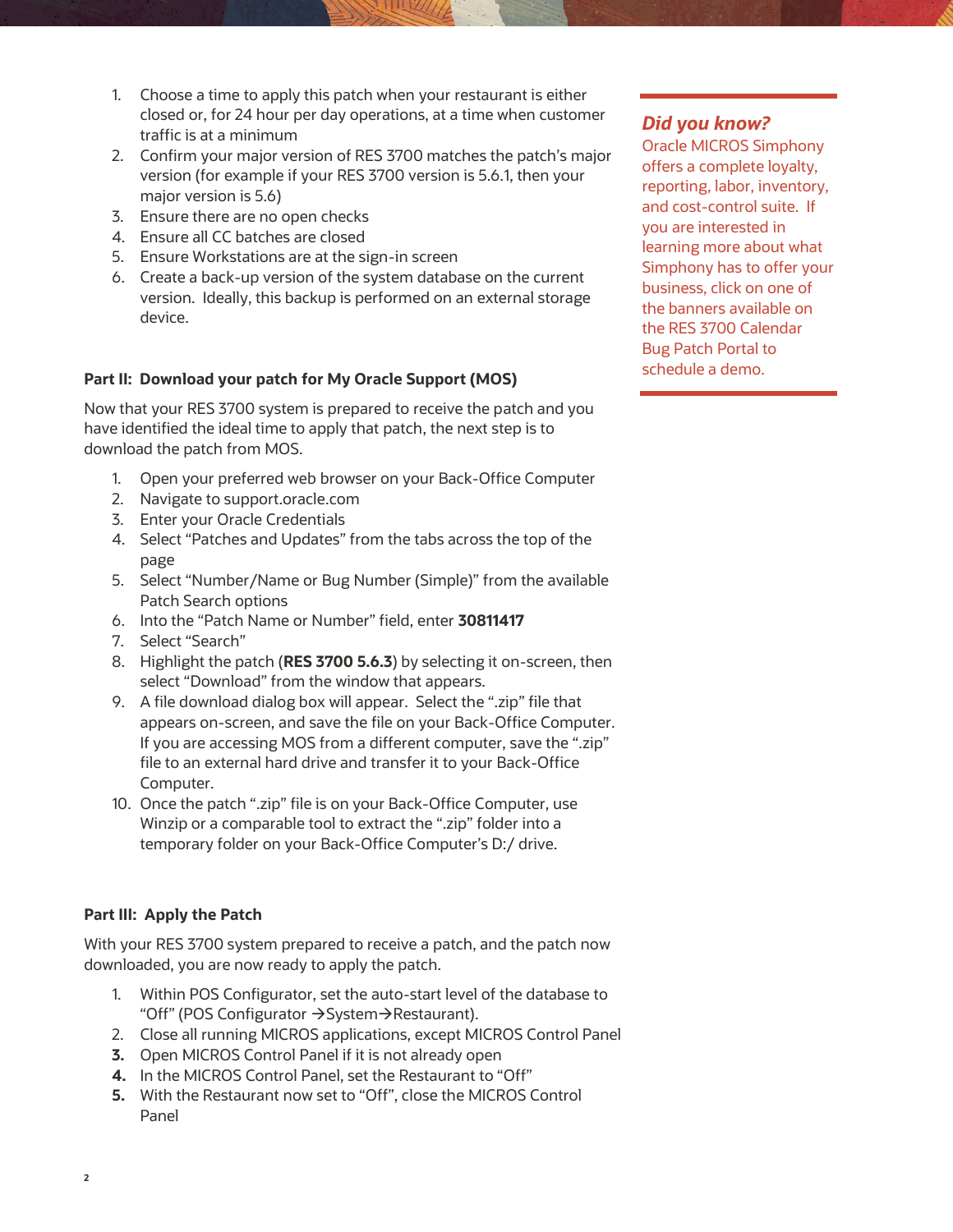- 1. Choose a time to apply this patch when your restaurant is either closed or, for 24 hour per day operations, at a time when customer traffic is at a minimum
- 2. Confirm your major version of RES 3700 matches the patch's major version (for example if your RES 3700 version is 5.6.1, then your major version is 5.6)
- 3. Ensure there are no open checks
- 4. Ensure all CC batches are closed
- 5. Ensure Workstations are at the sign-in screen
- 6. Create a back-up version of the system database on the current version. Ideally, this backup is performed on an external storage device.

#### **Part II: Download your patch for My Oracle Support (MOS)**

Now that your RES 3700 system is prepared to receive the patch and you have identified the ideal time to apply that patch, the next step is to download the patch from MOS.

- 1. Open your preferred web browser on your Back-Office Computer
- 2. Navigate to support.oracle.com
- 3. Enter your Oracle Credentials
- 4. Select "Patches and Updates" from the tabs across the top of the page
- 5. Select "Number/Name or Bug Number (Simple)" from the available Patch Search options
- 6. Into the "Patch Name or Number" field, enter **30811417**
- 7. Select "Search"
- 8. Highlight the patch (**RES 3700 5.6.3**) by selecting it on-screen, then select "Download" from the window that appears.
- 9. A file download dialog box will appear. Select the ".zip" file that appears on-screen, and save the file on your Back-Office Computer. If you are accessing MOS from a different computer, save the ".zip" file to an external hard drive and transfer it to your Back-Office Computer.
- 10. Once the patch ".zip" file is on your Back-Office Computer, use Winzip or a comparable tool to extract the ".zip" folder into a temporary folder on your Back-Office Computer's D:/ drive.

#### **Part III: Apply the Patch**

With your RES 3700 system prepared to receive a patch, and the patch now downloaded, you are now ready to apply the patch.

- 1. Within POS Configurator, set the auto-start level of the database to "Off" (POS Configurator  $\rightarrow$  System $\rightarrow$  Restaurant).
- 2. Close all running MICROS applications, except MICROS Control Panel
- **3.** Open MICROS Control Panel if it is not already open
- **4.** In the MICROS Control Panel, set the Restaurant to "Off"
- **5.** With the Restaurant now set to "Off", close the MICROS Control Panel

# *Did you know?*

Oracle MICROS Simphony offers a complete loyalty, reporting, labor, inventory, and cost-control suite. If you are interested in learning more about what Simphony has to offer your business, click on one of the banners available on the RES 3700 Calendar Bug Patch Portal to schedule a demo.